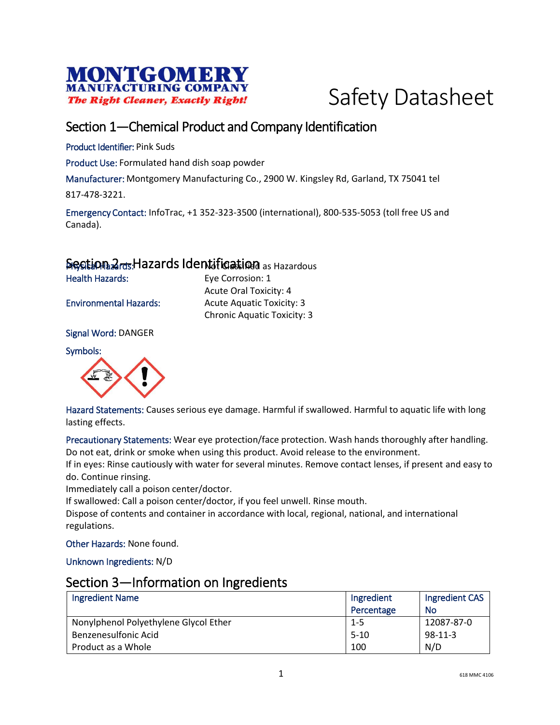



## Section 1—Chemical Product and Company Identification

Product Identifier: Pink Suds

Product Use: Formulated hand dish soap powder

Manufacturer: Montgomery Manufacturing Co., 2900 W. Kingsley Rd, Garland, TX 75041 tel

817-478-3221.

Emergency Contact: InfoTrac, +1 352-323-3500 (international), 800-535-5053 (toll free US and Canada).

### Section 2<sub>rds</sub> Hazards Identification as Hazardous

Health Hazards: Eye Corrosion: 1

Acute Oral Toxicity: 4 Environmental Hazards: Acute Aquatic Toxicity: 3 Chronic Aquatic Toxicity: 3

Signal Word: DANGER

Symbols:



Hazard Statements: Causes serious eye damage. Harmful if swallowed. Harmful to aquatic life with long lasting effects.

Precautionary Statements: Wear eye protection/face protection. Wash hands thoroughly after handling. Do not eat, drink or smoke when using this product. Avoid release to the environment.

If in eyes: Rinse cautiously with water for several minutes. Remove contact lenses, if present and easy to do. Continue rinsing.

Immediately call a poison center/doctor.

If swallowed: Call a poison center/doctor, if you feel unwell. Rinse mouth.

Dispose of contents and container in accordance with local, regional, national, and international regulations.

Other Hazards: None found.

Unknown Ingredients: N/D

#### Section 3—Information on Ingredients

| <b>Ingredient Name</b>                | Ingredient | Ingredient CAS |
|---------------------------------------|------------|----------------|
|                                       | Percentage | No             |
| Nonylphenol Polyethylene Glycol Ether | 1-5        | 12087-87-0     |
| Benzenesulfonic Acid                  | $5-10$     | $98-11-3$      |
| Product as a Whole                    | 100        | N/D            |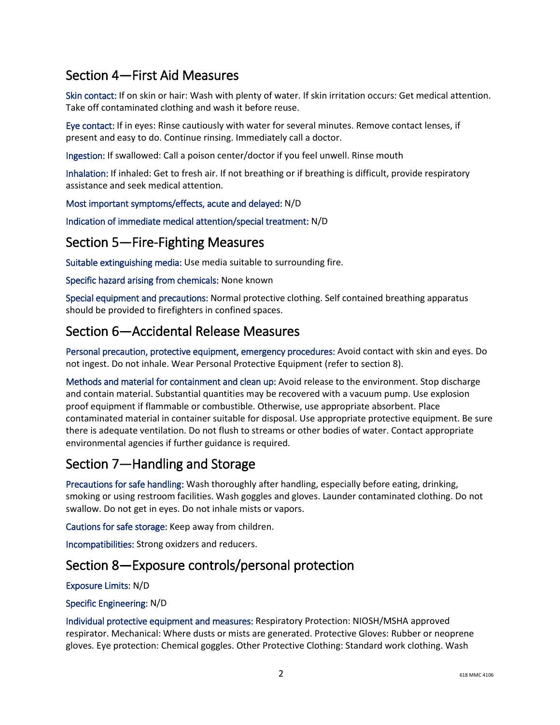# Section 4—First Aid Measures

Skin contact: If on skin or hair: Wash with plenty of water. If skin irritation occurs: Get medical attention. Take off contaminated clothing and wash it before reuse.

Eye contact: If in eyes: Rinse cautiously with water for several minutes. Remove contact lenses, if present and easy to do. Continue rinsing. Immediately call a doctor.

Ingestion: If swallowed: Call a poison center/doctor if you feel unwell. Rinse mouth

Inhalation: If inhaled: Get to fresh air. If not breathing or if breathing is difficult, provide respiratory assistance and seek medical attention.

Most important symptoms/effects, acute and delayed: N/D

Indication of immediate medical attention/special treatment: N/D

### Section 5—Fire-Fighting Measures

Suitable extinguishing media: Use media suitable to surrounding fire.

Specific hazard arising from chemicals: None known

Special equipment and precautions: Normal protective clothing. Self contained breathing apparatus should be provided to firefighters in confined spaces.

### Section 6—Accidental Release Measures

Personal precaution, protective equipment, emergency procedures: Avoid contact with skin and eyes. Do not ingest. Do not inhale. Wear Personal Protective Equipment (refer to section 8).

Methods and material for containment and clean up: Avoid release to the environment. Stop discharge and contain material. Substantial quantities may be recovered with a vacuum pump. Use explosion proof equipment if flammable or combustible. Otherwise, use appropriate absorbent. Place contaminated material in container suitable for disposal. Use appropriate protective equipment. Be sure there is adequate ventilation. Do not flush to streams or other bodies of water. Contact appropriate environmental agencies if further guidance is required.

## Section 7—Handling and Storage

Precautions for safe handling: Wash thoroughly after handling, especially before eating, drinking, smoking or using restroom facilities. Wash goggles and gloves. Launder contaminated clothing. Do not swallow. Do not get in eyes. Do not inhale mists or vapors.

Cautions for safe storage: Keep away from children.

Incompatibilities: Strong oxidzers and reducers.

### Section 8—Exposure controls/personal protection

#### Exposure Limits: N/D

#### Specific Engineering: N/D

Individual protective equipment and measures: Respiratory Protection: NIOSH/MSHA approved respirator. Mechanical: Where dusts or mists are generated. Protective Gloves: Rubber or neoprene gloves. Eye protection: Chemical goggles. Other Protective Clothing: Standard work clothing. Wash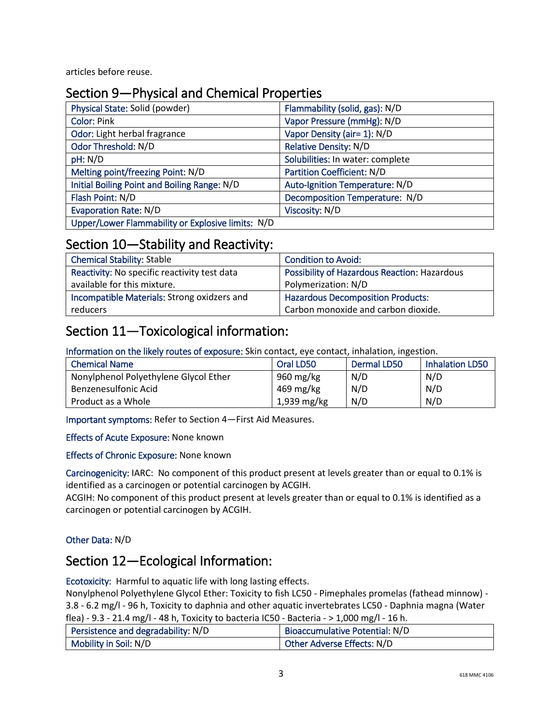articles before reuse.

## Section 9—Physical and Chemical Properties

| Physical State: Solid (powder)                    | Flammability (solid, gas): N/D   |
|---------------------------------------------------|----------------------------------|
| <b>Color: Pink</b>                                | Vapor Pressure (mmHg): N/D       |
| Odor: Light herbal fragrance                      | Vapor Density (air= 1): N/D      |
| Odor Threshold: N/D                               | <b>Relative Density: N/D</b>     |
| pH: N/D                                           | Solubilities: In water: complete |
| Melting point/freezing Point: N/D                 | Partition Coefficient: N/D       |
| Initial Boiling Point and Boiling Range: N/D      | Auto-Ignition Temperature: N/D   |
| Flash Point: N/D                                  | Decomposition Temperature: N/D   |
| <b>Evaporation Rate: N/D</b>                      | Viscosity: N/D                   |
| Upper/Lower Flammability or Explosive limits: N/D |                                  |

### Section 10—Stability and Reactivity:

| <b>Chemical Stability: Stable</b>            | <b>Condition to Avoid:</b>                   |
|----------------------------------------------|----------------------------------------------|
| Reactivity: No specific reactivity test data | Possibility of Hazardous Reaction: Hazardous |
| available for this mixture.                  | Polymerization: N/D                          |
| Incompatible Materials: Strong oxidzers and  | <b>Hazardous Decomposition Products:</b>     |
| reducers                                     | Carbon monoxide and carbon dioxide.          |

## Section 11—Toxicological information:

Information on the likely routes of exposure: Skin contact, eye contact, inhalation, ingestion.

| <b>Chemical Name</b>                  | Oral LD50   | Dermal LD50 | <b>Inhalation LD50</b> |
|---------------------------------------|-------------|-------------|------------------------|
| Nonylphenol Polyethylene Glycol Ether | 960 mg/kg   | N/D         | N/D                    |
| Benzenesulfonic Acid                  | 469 mg/kg   | N/D         | N/D                    |
| Product as a Whole                    | 1,939 mg/kg | N/D         | N/D                    |

Important symptoms: Refer to Section 4—First Aid Measures.

Effects of Acute Exposure: None known

Effects of Chronic Exposure: None known

Carcinogenicity: IARC: No component of this product present at levels greater than or equal to 0.1% is identified as a carcinogen or potential carcinogen by ACGIH.

ACGIH: No component of this product present at levels greater than or equal to 0.1% is identified as a carcinogen or potential carcinogen by ACGIH.

#### Other Data: N/D

### Section 12—Ecological Information:

Ecotoxicity: Harmful to aquatic life with long lasting effects.

Nonylphenol Polyethylene Glycol Ether: Toxicity to fish LC50 - Pimephales promelas (fathead minnow) - 3.8 - 6.2 mg/l - 96 h, Toxicity to daphnia and other aquatic invertebrates LC50 - Daphnia magna (Water

flea) - 9.3 - 21.4 mg/l - 48 h, Toxicity to bacteria IC50 - Bacteria - > 1,000 mg/l - 16 h.

| Persistence and degradability: N/D | Bioaccumulative Potential: N/D    |
|------------------------------------|-----------------------------------|
| Mobility in Soil: N/D              | <b>Other Adverse Effects: N/D</b> |